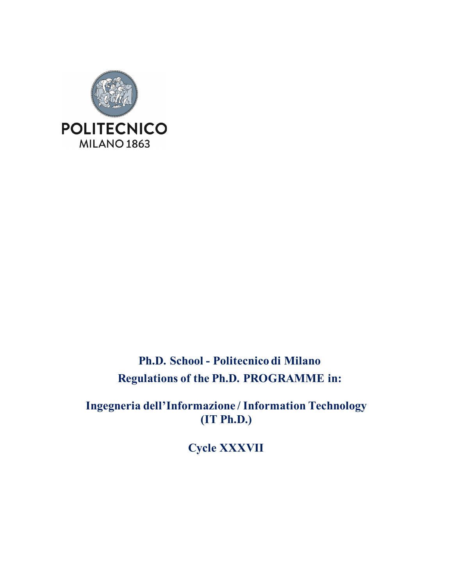

## **Ph.D. School - Politecnico di Milano Regulations of the Ph.D. PROGRAMME in:**

**Ingegneria dell'Informazione / Information Technology (IT Ph.D.)**

**Cycle XXXVII**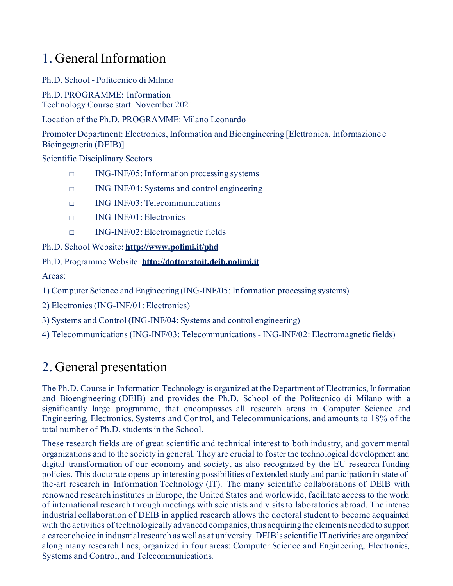## 1. General Information

Ph.D. School - Politecnico di Milano

Ph.D. PROGRAMME: Information Technology Course start: November 2021

Location of the Ph.D. PROGRAMME: Milano Leonardo

Promoter Department: Electronics, Information and Bioengineering [Elettronica, Informazione e Bioingegneria (DEIB)]

Scientific Disciplinary Sectors

- $\Box$  ING-INF/05: Information processing systems
- □ ING-INF/04: Systems and control engineering
- □ ING-INF/03: Telecommunications
- $\Box$  ING-INF/01: Electronics
- □ ING-INF/02: Electromagnetic fields

Ph.D. School Website: **<http://www.polimi.it/phd>**

Ph.D. Programme Website: **[http://dottoratoit.deib.polimi.it](http://dottoratoit.deib.polimi.it/)**

Areas:

1) Computer Science and Engineering (ING-INF/05: Information processing systems)

2) Electronics (ING-INF/01: Electronics)

3) Systems and Control (ING-INF/04: Systems and control engineering)

4) Telecommunications (ING-INF/03: Telecommunications - ING-INF/02: Electromagnetic fields)

## 2. General presentation

The Ph.D. Course in Information Technology is organized at the Department of Electronics, Information and Bioengineering (DEIB) and provides the Ph.D. School of the Politecnico di Milano with a significantly large programme, that encompasses all research areas in Computer Science and Engineering, Electronics, Systems and Control, and Telecommunications, and amounts to 18% of the total number of Ph.D. students in the School.

These research fields are of great scientific and technical interest to both industry, and governmental organizations and to the society in general. They are crucial to foster the technological development and digital transformation of our economy and society, as also recognized by the EU research funding policies. This doctorate opens up interesting possibilities of extended study and participation in state-ofthe-art research in Information Technology (IT). The many scientific collaborations of DEIB with renowned research institutes in Europe, the United States and worldwide, facilitate access to the world of international research through meetings with scientists and visits to laboratories abroad. The intense industrial collaboration of DEIB in applied research allows the doctoral student to become acquainted with the activities of technologically advanced companies, thus acquiring the elements needed to support a career choice in industrial research as well as at university. DEIB's scientific IT activities are organized along many research lines, organized in four areas: Computer Science and Engineering, Electronics, Systems and Control, and Telecommunications.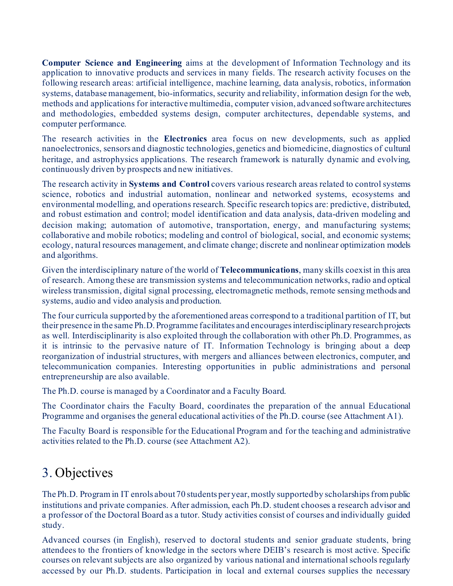**Computer Science and Engineering** aims at the development of Information Technology and its application to innovative products and services in many fields. The research activity focuses on the following research areas: artificial intelligence, machine learning, data analysis, robotics, information systems, database management, bio-informatics, security and reliability, information design for the web, methods and applications for interactive multimedia, computer vision, advanced software architectures and methodologies, embedded systems design, computer architectures, dependable systems, and computer performance.

The research activities in the **Electronics** area focus on new developments, such as applied nanoelectronics, sensors and diagnostic technologies, genetics and biomedicine, diagnostics of cultural heritage, and astrophysics applications. The research framework is naturally dynamic and evolving, continuously driven by prospects and new initiatives.

The research activity in **Systems and Control** covers various research areas related to control systems science, robotics and industrial automation, nonlinear and networked systems, ecosystems and environmental modelling, and operations research. Specific research topics are: predictive, distributed, and robust estimation and control; model identification and data analysis, data-driven modeling and decision making; automation of automotive, transportation, energy, and manufacturing systems; collaborative and mobile robotics; modeling and control of biological, social, and economic systems; ecology, natural resources management, and climate change; discrete and nonlinear optimization models and algorithms.

Given the interdisciplinary nature of the world of **Telecommunications**, many skills coexist in this area of research. Among these are transmission systems and telecommunication networks, radio and optical wireless transmission, digital signal processing, electromagnetic methods, remote sensing methods and systems, audio and video analysis and production.

The four curricula supported by the aforementioned areas correspond to a traditional partition of IT, but their presence in the same Ph.D. Programme facilitates and encourages interdisciplinary research projects as well. Interdisciplinarity is also exploited through the collaboration with other Ph.D. Programmes, as it is intrinsic to the pervasive nature of IT. Information Technology is bringing about a deep reorganization of industrial structures, with mergers and alliances between electronics, computer, and telecommunication companies. Interesting opportunities in public administrations and personal entrepreneurship are also available.

The Ph.D. course is managed by a Coordinator and a Faculty Board.

The Coordinator chairs the Faculty Board, coordinates the preparation of the annual Educational Programme and organises the general educational activities of the Ph.D. course (see Attachment A1).

The Faculty Board is responsible for the Educational Program and for the teaching and administrative activities related to the Ph.D. course (see Attachment A2).

## 3. Objectives

The Ph.D. Program in IT enrols about 70 students per year, mostly supported by scholarships from public institutions and private companies. After admission, each Ph.D. student chooses a research advisor and a professor of the Doctoral Board as a tutor. Study activities consist of courses and individually guided study.

Advanced courses (in English), reserved to doctoral students and senior graduate students, bring attendees to the frontiers of knowledge in the sectors where DEIB's research is most active. Specific courses on relevant subjects are also organized by various national and international schools regularly accessed by our Ph.D. students. Participation in local and external courses supplies the necessary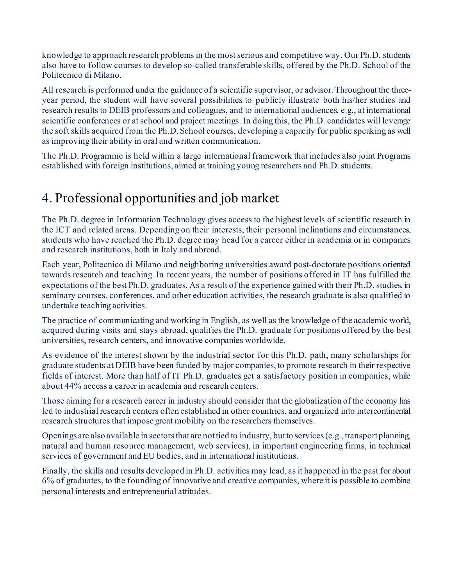knowledge to approach research problems in the most serious and competitive way. Our Ph.D. students also have to follow courses to develop so-called transferable skills, offered by the Ph.D. School of the Politecnico di Milano.

All research is performed under the guidance of a scientific supervisor, or advisor. Throughout the threeyear period, the student will have several possibilities to publicly illustrate both his/her studies and research results to DEIB professors and colleagues, and to international audiences, e.g., at international scientific conferences or at school and project meetings. In doing this, the Ph.D. candidates will leverage the soft skills acquired from the Ph.D. School courses, developing a capacity for public speaking as well as improving their ability in oral and written communication.

The Ph.D. Programme is held within a large international framework that includes also joint Programs established with foreign institutions, aimed at training young researchers and Ph.D. students.

## 4. Professional opportunities and job market

The Ph.D. degree in Information Technology gives access to the highest levels of scientific research in the ICT and related areas. Depending on their interests, their personal inclinations and circumstances, students who have reached the Ph.D. degree may head for a career either in academia or in companies and research institutions, both in Italy and abroad.

Each year, Politecnico di Milano and neighboring universities award post-doctorate positions oriented towards research and teaching. In recent years, the number of positions offered in IT has fulfilled the expectations of the best Ph.D. graduates. As a result of the experience gained with their Ph.D. studies, in seminary courses, conferences, and other education activities, the research graduate is also qualified to undertake teaching activities.

The practice of communicating and working in English, as well as the knowledge of the academic world, acquired during visits and stays abroad, qualifies the Ph.D. graduate for positions offered by the best universities, research centers, and innovative companies worldwide.

As evidence of the interest shown by the industrial sector for this Ph.D. path, many scholarships for graduate students at DEIB have been funded by major companies, to promote research in their respective fields of interest. More than half of IT Ph.D. graduates get a satisfactory position in companies, while about 44% access a career in academia and research centers.

Those aiming for a research career in industry should consider that the globalization of the economy has led to industrial research centers often established in other countries, and organized into intercontinental research structures that impose great mobility on the researchers themselves.

Openings are also available in sectors that are not tied to industry, but to services (e.g., transport planning, natural and human resource management, web services), in important engineering firms, in technical services of government and EU bodies, and in international institutions.

Finally, the skills and results developed in Ph.D. activities may lead, as it happened in the past for about 6% of graduates, to the founding of innovative and creative companies, where it is possible to combine personal interests and entrepreneurial attitudes.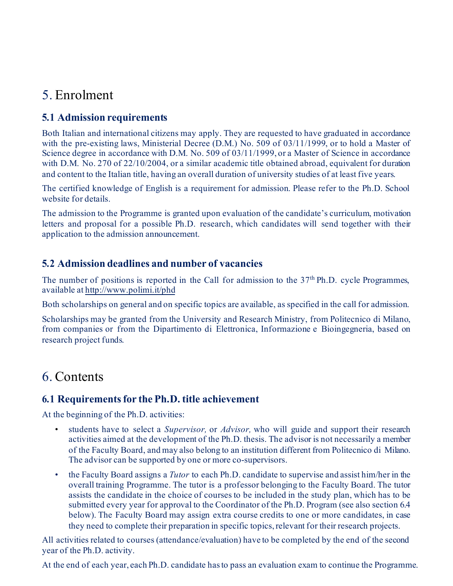## 5. Enrolment

## **5.1 Admission requirements**

Both Italian and international citizens may apply. They are requested to have graduated in accordance with the pre-existing laws, Ministerial Decree (D.M.) No. 509 of 03/11/1999, or to hold a Master of Science degree in accordance with D.M. No. 509 of 03/11/1999, or a Master of Science in accordance with D.M. No. 270 of 22/10/2004, or a similar academic title obtained abroad, equivalent for duration and content to the Italian title, having an overall duration of university studies of at least five years.

The certified knowledge of English is a requirement for admission. Please refer to the Ph.D. School website for details.

The admission to the Programme is granted upon evaluation of the candidate's curriculum, motivation letters and proposal for a possible Ph.D. research, which candidates will send together with their application to the admission announcement.

## **5.2 Admission deadlines and number of vacancies**

The number of positions is reported in the Call for admission to the 37<sup>th</sup> Ph.D. cycle Programmes, available a[t http://www.polimi.it/phd](http://www.polimi.it/phd)

Both scholarships on general and on specific topics are available, as specified in the call for admission.

Scholarships may be granted from the University and Research Ministry, from Politecnico di Milano, from companies or from the Dipartimento di Elettronica, Informazione e Bioingegneria, based on research project funds.

## 6. Contents

### **6.1 Requirements for the Ph.D. title achievement**

At the beginning of the Ph.D. activities:

- students have to select a *Supervisor,* or *Advisor,* who will guide and support their research activities aimed at the development of the Ph.D. thesis. The advisor is not necessarily a member of the Faculty Board, and may also belong to an institution different from Politecnico di Milano. The advisor can be supported by one or more co-supervisors.
- the Faculty Board assigns a *Tutor* to each Ph.D. candidate to supervise and assist him/her in the overall training Programme. The tutor is a professor belonging to the Faculty Board. The tutor assists the candidate in the choice of courses to be included in the study plan, which has to be submitted every year for approval to the Coordinator of the Ph.D. Program (see also section 6.4 below). The Faculty Board may assign extra course credits to one or more candidates, in case they need to complete their preparation in specific topics, relevant for their research projects.

All activities related to courses (attendance/evaluation) have to be completed by the end of the second year of the Ph.D. activity.

At the end of each year, each Ph.D. candidate has to pass an evaluation exam to continue the Programme.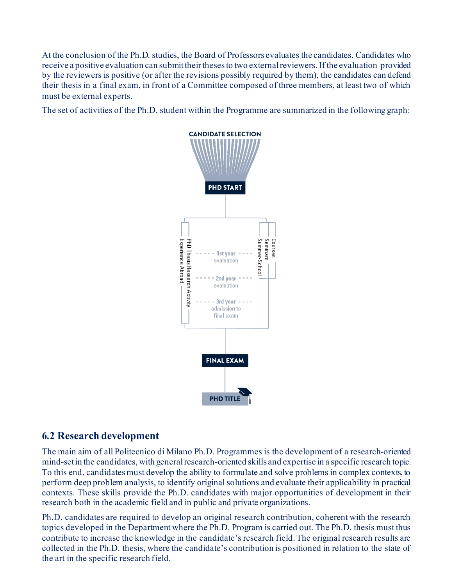At the conclusion of the Ph.D. studies, the Board of Professors evaluates the candidates. Candidates who receive a positive evaluation can submit their theses to two external reviewers. If the evaluation provided by the reviewers is positive (or after the revisions possibly required by them), the candidates can defend their thesis in a final exam, in front of a Committee composed of three members, at least two of which must be external experts.

The set of activities of the Ph.D. student within the Programme are summarized in the following graph:



### **6.2 Research development**

The main aim of all Politecnico di Milano Ph.D. Programmes is the development of a research-oriented mind-set in the candidates, with general research-oriented skills and expertise in a specific research topic. To this end, candidates must develop the ability to formulate and solve problems in complex contexts, to perform deep problem analysis, to identify original solutions and evaluate their applicability in practical contexts. These skills provide the Ph.D. candidates with major opportunities of development in their research both in the academic field and in public and private organizations.

Ph.D. candidates are required to develop an original research contribution, coherent with the research topics developed in the Department where the Ph.D. Program is carried out. The Ph.D. thesis must thus contribute to increase the knowledge in the candidate's research field. The original research results are collected in the Ph.D. thesis, where the candidate's contribution is positioned in relation to the state of the art in the specific research field.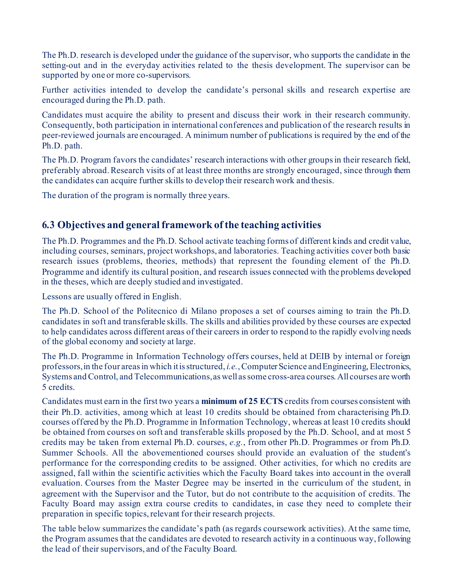The Ph.D. research is developed under the guidance of the supervisor, who supports the candidate in the setting-out and in the everyday activities related to the thesis development. The supervisor can be supported by one or more co-supervisors.

Further activities intended to develop the candidate's personal skills and research expertise are encouraged during the Ph.D. path.

Candidates must acquire the ability to present and discuss their work in their research community. Consequently, both participation in international conferences and publication of the research results in peer-reviewed journals are encouraged. A minimum number of publications is required by the end of the Ph.D. path.

The Ph.D. Program favors the candidates' research interactions with other groups in their research field, preferably abroad. Research visits of at least three months are strongly encouraged, since through them the candidates can acquire further skills to develop their research work and thesis.

The duration of the program is normally three years.

### **6.3 Objectives and general framework of the teaching activities**

The Ph.D. Programmes and the Ph.D. School activate teaching forms of different kinds and credit value, including courses, seminars, project workshops, and laboratories. Teaching activities cover both basic research issues (problems, theories, methods) that represent the founding element of the Ph.D. Programme and identify its cultural position, and research issues connected with the problems developed in the theses, which are deeply studied and investigated.

Lessons are usually offered in English.

The Ph.D. School of the Politecnico di Milano proposes a set of courses aiming to train the Ph.D. candidates in soft and transferable skills. The skills and abilities provided by these courses are expected to help candidates across different areas of their careers in order to respond to the rapidly evolving needs of the global economy and society at large.

The Ph.D. Programme in Information Technology offers courses, held at DEIB by internal or foreign professors, in the four areas in which it is structured, *i.e.*, Computer Science and Engineering, Electronics, Systems and Control, and Telecommunications, as well as some cross-area courses. All courses are worth 5 credits.

Candidates must earn in the first two years a **minimum of 25 ECTS** credits from courses consistent with their Ph.D. activities, among which at least 10 credits should be obtained from characterising Ph.D. courses offered by the Ph.D. Programme in Information Technology, whereas at least 10 credits should be obtained from courses on soft and transferable skills proposed by the Ph.D. School, and at most 5 credits may be taken from external Ph.D. courses, *e.g.*, from other Ph.D. Programmes or from Ph.D. Summer Schools. All the abovementioned courses should provide an evaluation of the student's performance for the corresponding credits to be assigned. Other activities, for which no credits are assigned, fall within the scientific activities which the Faculty Board takes into account in the overall evaluation. Courses from the Master Degree may be inserted in the curriculum of the student, in agreement with the Supervisor and the Tutor, but do not contribute to the acquisition of credits. The Faculty Board may assign extra course credits to candidates, in case they need to complete their preparation in specific topics, relevant for their research projects.

The table below summarizes the candidate's path (as regards coursework activities). At the same time, the Program assumes that the candidates are devoted to research activity in a continuous way, following the lead of their supervisors, and of the Faculty Board.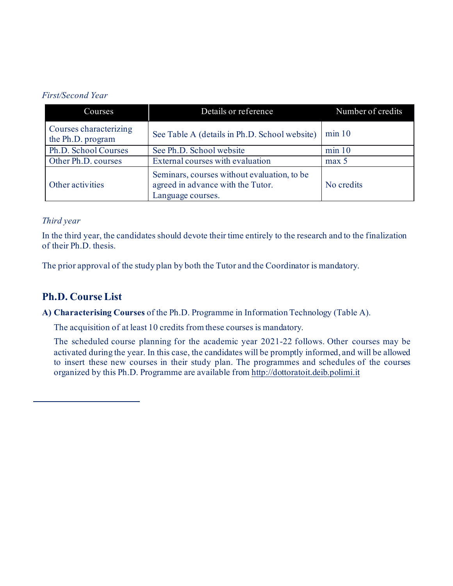#### *First/Second Year*

| Courses                                                                                                                   | Details or reference                          | Number of credits |  |
|---------------------------------------------------------------------------------------------------------------------------|-----------------------------------------------|-------------------|--|
| Courses characterizing<br>the Ph.D. program                                                                               | See Table A (details in Ph.D. School website) | min 10            |  |
| Ph.D. School Courses                                                                                                      | See Ph.D. School website                      | min 10            |  |
| Other Ph.D. courses                                                                                                       | External courses with evaluation              | max 5             |  |
| Seminars, courses without evaluation, to be<br>agreed in advance with the Tutor.<br>Other activities<br>Language courses. |                                               | No credits        |  |

#### *Third year*

In the third year, the candidates should devote their time entirely to the research and to the finalization of their Ph.D. thesis.

The prior approval of the study plan by both the Tutor and the Coordinator is mandatory.

### **Ph.D. Course List**

**A) Characterising Courses** of the Ph.D. Programme in Information Technology (Table A).

The acquisition of at least 10 credits from these courses is mandatory.

The scheduled course planning for the academic year 2021-22 follows. Other courses may be activated during the year. In this case, the candidates will be promptly informed, and will be allowed to insert these new courses in their study plan. The programmes and schedules of the courses organized by this Ph.D. Programme are available fro[m http://dottoratoit.deib.polimi.it](http://dottoratoit.deib.polimi.it/)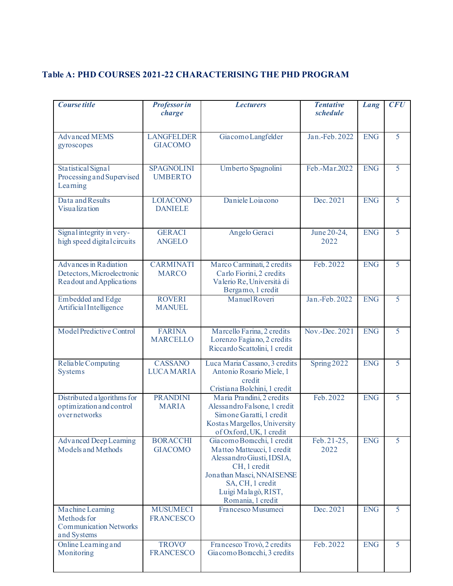### **Table A: PHD COURSES 2021-22 CHARACTERISING THE PHD PROGRAM**

| Course title                                                                    | <b>Professor in</b><br>charge       | <b>Lecturers</b>                                                                                                                                                                                   | <b>Tentative</b><br>schedule | Lang       | <b>CFU</b>     |
|---------------------------------------------------------------------------------|-------------------------------------|----------------------------------------------------------------------------------------------------------------------------------------------------------------------------------------------------|------------------------------|------------|----------------|
| <b>Advanced MEMS</b><br>gyroscopes                                              | <b>LANGFELDER</b><br><b>GIACOMO</b> | Giacomo Langfelder                                                                                                                                                                                 | Jan.-Feb. 2022               | <b>ENG</b> | 5              |
| Statistical Signal<br>Processing and Supervised<br>Learning                     | <b>SPAGNOLINI</b><br><b>UMBERTO</b> | Umberto Spagnolini                                                                                                                                                                                 | Feb.-Mar.2022                | <b>ENG</b> | 5              |
| Data and Results<br><b>Visualization</b>                                        | <b>LOIACONO</b><br><b>DANIELE</b>   | Daniele Loiacono                                                                                                                                                                                   | Dec. 2021                    | <b>ENG</b> | $\overline{5}$ |
| Signal integrity in very-<br>high speed digital circuits                        | <b>GERACI</b><br><b>ANGELO</b>      | Angelo Geraci                                                                                                                                                                                      | June 20-24,<br>2022          | <b>ENG</b> | 5              |
| Advances in Radiation<br>Detectors, Microelectronic<br>Readout and Applications | <b>CARMINATI</b><br><b>MARCO</b>    | Marco Carminati, 2 credits<br>Carlo Fiorini, 2 credits<br>Valerio Re, Università di<br>Bergamo, 1 credit                                                                                           | Feb. 2022                    | <b>ENG</b> | 5              |
| <b>Embedded</b> and Edge<br>ArtificialIntelligence                              | <b>ROVERI</b><br><b>MANUEL</b>      | Manuel Roveri                                                                                                                                                                                      | Jan.-Feb. 2022               | <b>ENG</b> | 5              |
| Model Predictive Control                                                        | <b>FARINA</b><br><b>MARCELLO</b>    | Marcello Farina, 2 credits<br>Lorenzo Fagiano, 2 credits<br>Riccardo Scattolini, 1 credit                                                                                                          | Nov.-Dec. 2021               | <b>ENG</b> | 5              |
| Reliable Computing<br><b>Systems</b>                                            | <b>CASSANO</b><br><b>LUCAMARIA</b>  | Luca Maria Cassano, 3 credits<br>Antonio Rosario Miele, 1<br>credit<br>Cristiana Bolchini, 1 credit                                                                                                | Spring 2022                  | <b>ENG</b> | 5              |
| Distributed a lgorithms for<br>optimization and control<br>overnetworks         | <b>PRANDINI</b><br><b>MARIA</b>     | Maria Prandini, 2 credits<br>Alessandro Falsone, 1 credit<br>Simone Garatti, 1 credit<br>Kostas Margellos, University<br>of Oxford, UK, 1 credit                                                   | Feb. 2022                    | <b>ENG</b> | 5              |
| <b>Advanced Deep Learning</b><br>Models and Methods                             | <b>BORACCHI</b><br><b>GIACOMO</b>   | Giacomo Boracchi, 1 credit<br>Matteo Matteucci, 1 credit<br>Alessandro Giusti, IDSIA,<br>CH, 1 credit<br>Jonathan Masci, NNAISENSE<br>SA, CH, 1 credit<br>Luigi Malagò, RIST,<br>Romania, 1 credit | Feb. 21-25,<br>2022          | <b>ENG</b> | 5              |
| Machine Learning<br>Methods for<br><b>Communication Networks</b><br>and Systems | <b>MUSUMECI</b><br><b>FRANCESCO</b> | Francesco Musumeci                                                                                                                                                                                 | Dec. 2021                    | <b>ENG</b> | 5              |
| Online Learning and<br>Monitoring                                               | <b>TROVO'</b><br><b>FRANCESCO</b>   | Francesco Trovò, 2 credits<br>Giacomo Boracchi, 3 credits                                                                                                                                          | Feb. 2022                    | <b>ENG</b> | $\overline{5}$ |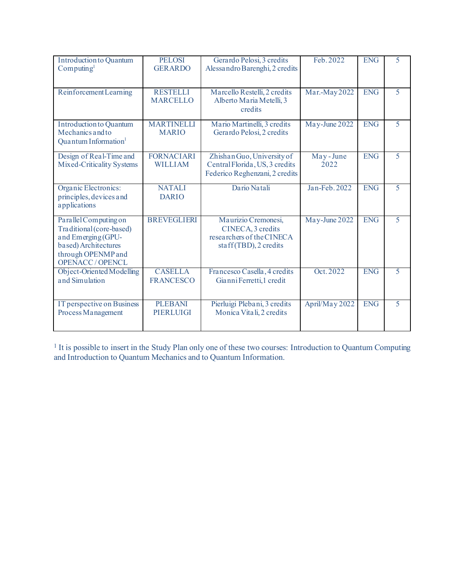| <b>Introduction to Quantum</b><br>Computing <sup>1</sup>                                                                                       | <b>PELOSI</b><br><b>GERARDO</b>     | Gerardo Pelosi, 3 credits<br>Alessandro Barenghi, 2 credits                                    | Feb. 2022        | <b>ENG</b> | 5 |
|------------------------------------------------------------------------------------------------------------------------------------------------|-------------------------------------|------------------------------------------------------------------------------------------------|------------------|------------|---|
| Reinforcement Learning                                                                                                                         | <b>RESTELLI</b><br><b>MARCELLO</b>  | Marcello Restelli, 2 credits<br>Alberto Maria Metelli, 3<br>credits                            | Mar.-May 2022    | <b>ENG</b> | 5 |
| <b>Introduction to Quantum</b><br>Mechanics and to<br>Quantum Information <sup>1</sup>                                                         | <b>MARTINELLI</b><br><b>MARIO</b>   | Mario Martinelli, 3 credits<br>Gerardo Pelosi, 2 credits                                       | May-June 2022    | <b>ENG</b> | 5 |
| Design of Real-Time and<br>Mixed-Criticality Systems                                                                                           | <b>FORNACIARI</b><br><b>WILLIAM</b> | Zhishan Guo, University of<br>Central Florida, US, 3 credits<br>Federico Reghenzani, 2 credits | May-June<br>2022 | <b>ENG</b> | 5 |
| Organic Electronics:<br>principles, devices and<br>applications                                                                                | <b>NATALI</b><br><b>DARIO</b>       | Dario Natali                                                                                   | Jan-Feb. 2022    | <b>ENG</b> | 5 |
| Parallel Computing on<br>Traditional (core-based)<br>and Emerging (GPU-<br>based) Architectures<br>through OPENMP and<br><b>OPENACC/OPENCL</b> | <b>BREVEGLIERI</b>                  | Maurizio Cremonesi,<br>CINECA, 3 credits<br>researchers of the CINECA<br>staff(TBD), 2 credits | May-June 2022    | <b>ENG</b> | 5 |
| Object-Oriented Modelling<br>and Simulation                                                                                                    | <b>CASELLA</b><br><b>FRANCESCO</b>  | Francesco Casella, 4 credits<br>Gianni Ferretti, 1 credit                                      | Oct. 2022        | <b>ENG</b> | 5 |
| IT perspective on Business<br>Process Management                                                                                               | <b>PLEBANI</b><br><b>PIERLUIGI</b>  | Pierluigi Plebani, 3 credits<br>Monica Vitali, 2 credits                                       | April/May 2022   | <b>ENG</b> | 5 |

<sup>1</sup> It is possible to insert in the Study Plan only one of these two courses: Introduction to Quantum Computing and Introduction to Quantum Mechanics and to Quantum Information.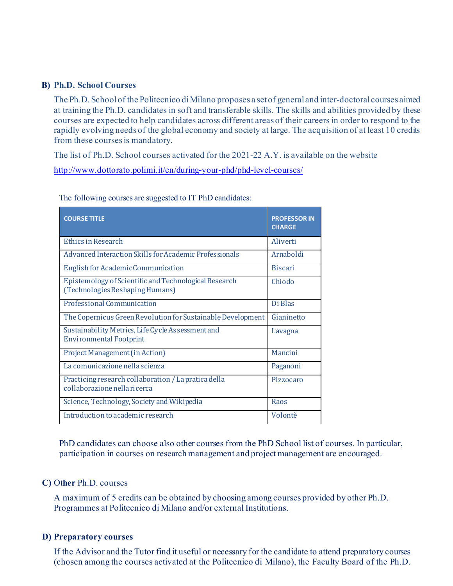#### **B) Ph.D. School Courses**

The Ph.D. School of the Politecnico di Milano proposes a set of general and inter-doctoral courses aimed at training the Ph.D. candidates in soft and transferable skills. The skills and abilities provided by these courses are expected to help candidates across different areas of their careers in order to respond to the rapidly evolving needs of the global economy and society at large. The acquisition of at least 10 credits from these courses is mandatory.

The list of Ph.D. School courses activated for the 2021-22 A.Y. is available on the website http://www.dottorato.polimi.it/en/during-your-phd/phd-level-courses/

| <b>COURSE TITLE</b>                                                                      | <b>PROFESSOR IN</b><br><b>CHARGE</b> |
|------------------------------------------------------------------------------------------|--------------------------------------|
| Ethics in Research                                                                       | Aliverti                             |
| Advanced Interaction Skills for Academic Professionals                                   | Arnaboldi                            |
| English for Academic Communication                                                       | <b>Biscari</b>                       |
| Epistemology of Scientific and Technological Research<br>(Technologies Reshaping Humans) | Chiodo                               |
| Professional Communication                                                               | Di Blas                              |
| The Copernicus Green Revolution for Sustainable Development                              | Gianinetto                           |
| Sustainability Metrics, Life Cycle Assessment and<br><b>Environmental Footprint</b>      | Lavagna                              |
| <b>Project Management (in Action)</b>                                                    | Mancini                              |
| La comunicazione nella scienza                                                           | Paganoni                             |
| Practicing research collaboration / La pratica della<br>collaborazione nella ricerca     | Pizzocaro                            |
| Science, Technology, Society and Wikipedia                                               | Raos                                 |
| Introduction to academic research                                                        | Volontè                              |

The following courses are suggested to IT PhD candidates:

PhD candidates can choose also other courses from the PhD School list of courses. In particular, participation in courses on research management and project management are encouraged.

#### **C)** Ot**her** Ph.D. courses

A maximum of 5 credits can be obtained by choosing among courses provided by other Ph.D. Programmes at Politecnico di Milano and/or external Institutions.

#### **D) Preparatory courses**

If the Advisor and the Tutor find it useful or necessary for the candidate to attend preparatory courses (chosen among the courses activated at the Politecnico di Milano), the Faculty Board of the Ph.D.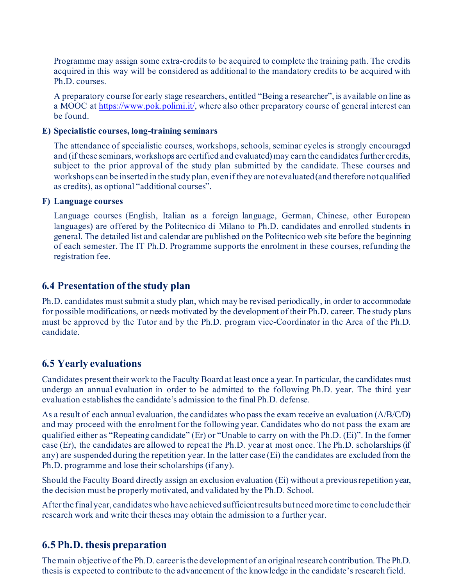Programme may assign some extra-credits to be acquired to complete the training path. The credits acquired in this way will be considered as additional to the mandatory credits to be acquired with Ph.D. courses.

A preparatory course for early stage researchers, entitled "Being a researcher", is available on line as a MOOC at [https://www.pok.polimi.it/,](https://www.pok.polimi.it/) where also other preparatory course of general interest can be found.

#### **E) Specialistic courses, long-training seminars**

The attendance of specialistic courses, workshops, schools, seminar cycles is strongly encouraged and (if these seminars, workshops are certified and evaluated) may earn the candidates further credits, subject to the prior approval of the study plan submitted by the candidate. These courses and workshops can be inserted in the study plan, even if they are not evaluated (and therefore not qualified as credits), as optional "additional courses".

#### **F) Language courses**

Language courses (English, Italian as a foreign language, German, Chinese, other European languages) are offered by the Politecnico di Milano to Ph.D. candidates and enrolled students in general. The detailed list and calendar are published on the Politecnico web site before the beginning of each semester. The IT Ph.D. Programme supports the enrolment in these courses, refunding the registration fee.

#### **6.4 Presentation of the study plan**

Ph.D. candidates must submit a study plan, which may be revised periodically, in order to accommodate for possible modifications, or needs motivated by the development of their Ph.D. career. The study plans must be approved by the Tutor and by the Ph.D. program vice-Coordinator in the Area of the Ph.D. candidate.

### **6.5 Yearly evaluations**

Candidates present their work to the Faculty Board at least once a year. In particular, the candidates must undergo an annual evaluation in order to be admitted to the following Ph.D. year. The third year evaluation establishes the candidate's admission to the final Ph.D. defense.

As a result of each annual evaluation, the candidates who pass the exam receive an evaluation (A/B/C/D) and may proceed with the enrolment for the following year. Candidates who do not pass the exam are qualified either as "Repeating candidate" (Er) or "Unable to carry on with the Ph.D. (Ei)". In the former case (Er), the candidates are allowed to repeat the Ph.D. year at most once. The Ph.D. scholarships (if any) are suspended during the repetition year. In the latter case (Ei) the candidates are excluded from the Ph.D. programme and lose their scholarships (if any).

Should the Faculty Board directly assign an exclusion evaluation (Ei) without a previous repetition year, the decision must be properly motivated, and validated by the Ph.D. School.

After the final year, candidates who have achieved sufficient results but need more time to conclude their research work and write their theses may obtain the admission to a further year.

### **6.5 Ph.D. thesis preparation**

The main objective of the Ph.D. career is the development of an original research contribution. The Ph.D. thesis is expected to contribute to the advancement of the knowledge in the candidate's research field.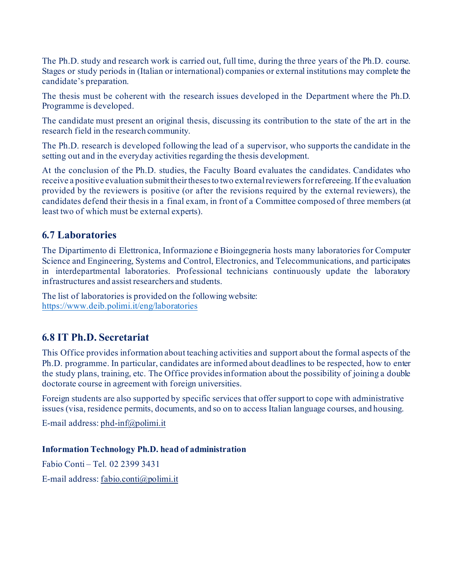The Ph.D. study and research work is carried out, full time, during the three years of the Ph.D. course. Stages or study periods in (Italian or international) companies or external institutions may complete the candidate's preparation.

The thesis must be coherent with the research issues developed in the Department where the Ph.D. Programme is developed.

The candidate must present an original thesis, discussing its contribution to the state of the art in the research field in the research community.

The Ph.D. research is developed following the lead of a supervisor, who supports the candidate in the setting out and in the everyday activities regarding the thesis development.

At the conclusion of the Ph.D. studies, the Faculty Board evaluates the candidates. Candidates who receive a positive evaluation submit their theses to two external reviewers for refereeing. If the evaluation provided by the reviewers is positive (or after the revisions required by the external reviewers), the candidates defend their thesis in a final exam, in front of a Committee composed of three members (at least two of which must be external experts).

### **6.7 Laboratories**

The Dipartimento di Elettronica, Informazione e Bioingegneria hosts many laboratories for Computer Science and Engineering, Systems and Control, Electronics, and Telecommunications, and participates in interdepartmental laboratories. Professional technicians continuously update the laboratory infrastructures and assist researchers and students.

The list of laboratories is provided on the following website: https:/[/www.deib.polimi.it/eng/laboratories](http://www.deib.polimi.it/eng/laboratories)

### **6.8 IT Ph.D. Secretariat**

This Office provides information about teaching activities and support about the formal aspects of the Ph.D. programme. In particular, candidates are informed about deadlines to be respected, how to enter the study plans, training, etc. The Office provides information about the possibility of joining a double doctorate course in agreement with foreign universities.

Foreign students are also supported by specific services that offer support to cope with administrative issues (visa, residence permits, documents, and so on to access Italian language courses, and housing.

E-mail address[: phd-inf@polimi.it](mailto:phd-inf@polimi.it)

#### **Information Technology Ph.D. head of administration**

Fabio Conti – Tel. 02 2399 3431 E-mail address[: fabio.conti@polimi.it](mailto:fabio.conti@polimi.it)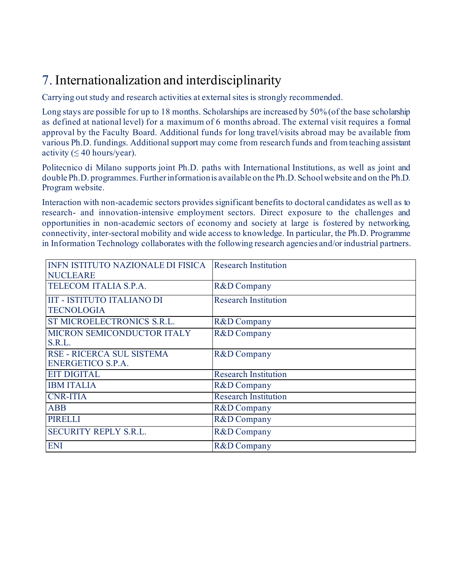## 7. Internationalization and interdisciplinarity

Carrying out study and research activities at external sites is strongly recommended.

Long stays are possible for up to 18 months. Scholarships are increased by 50% (of the base scholarship as defined at national level) for a maximum of 6 months abroad. The external visit requires a formal approval by the Faculty Board. Additional funds for long travel/visits abroad may be available from various Ph.D. fundings. Additional support may come from research funds and from teaching assistant activity ( $\leq 40$  hours/year).

Politecnico di Milano supports joint Ph.D. paths with International Institutions, as well as joint and double Ph.D. programmes. Further information is available on the Ph.D. School website and on the Ph.D. Program website.

Interaction with non-academic sectors provides significant benefits to doctoral candidates as well as to research- and innovation-intensive employment sectors. Direct exposure to the challenges and opportunities in non-academic sectors of economy and society at large is fostered by networking, connectivity, inter-sectoral mobility and wide access to knowledge. In particular, the Ph.D. Programme in Information Technology collaborates with the following research agencies and/or industrial partners.

| <b>INFN ISTITUTO NAZIONALE DI FISICA</b><br><b>NUCLEARE</b> | <b>Research Institution</b> |
|-------------------------------------------------------------|-----------------------------|
| TELECOM ITALIA S.P.A.                                       | R&D Company                 |
| <b>IIT - ISTITUTO ITALIANO DI</b><br><b>TECNOLOGIA</b>      | <b>Research Institution</b> |
| ST MICROELECTRONICS S.R.L.                                  | R&D Company                 |
| MICRON SEMICONDUCTOR ITALY<br>S.R.L.                        | R&D Company                 |
| RSE - RICERCA SUL SISTEMA<br><b>ENERGETICO S.P.A.</b>       | R&D Company                 |
| <b>EIT DIGITAL</b>                                          | <b>Research Institution</b> |
| <b>IBM ITALIA</b>                                           | R&D Company                 |
| <b>CNR-ITIA</b>                                             | <b>Research Institution</b> |
| <b>ABB</b>                                                  | R&D Company                 |
| <b>PIRELLI</b>                                              | R&D Company                 |
| <b>SECURITY REPLY S.R.L.</b>                                | R&D Company                 |
| <b>ENI</b>                                                  | R&D Company                 |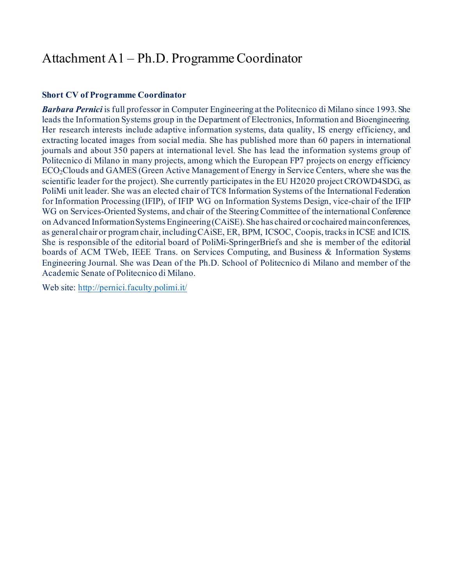## Attachment A1 – Ph.D. Programme Coordinator

#### **Short CV of Programme Coordinator**

*Barbara Pernici* is full professor in Computer Engineering at the Politecnico di Milano since 1993. She leads the Information Systems group in the Department of Electronics, Information and Bioengineering. Her research interests include adaptive information systems, data quality, IS energy efficiency, and extracting located images from social media. She has published more than 60 papers in international journals and about 350 papers at international level. She has lead the information systems group of Politecnico di Milano in many projects, among which the European FP7 projects on energy efficiency ECO2Clouds and GAMES (Green Active Management of Energy in Service Centers, where she was the scientific leader for the project). She currently participates in the EU H2020 project CROWD4SDG, as PoliMi unit leader. She was an elected chair of TC8 Information Systems of the International Federation for Information Processing (IFIP), of IFIP WG on Information Systems Design, vice-chair of the IFIP WG on Services-Oriented Systems, and chair of the Steering Committee of the international Conference on Advanced Information Systems Engineering (CAiSE). She has chaired or cochaired main conferences, as general chair or program chair, including CAiSE, ER, BPM, ICSOC, Coopis, tracks in ICSE and ICIS. She is responsible of the editorial board of PoliMi-SpringerBriefs and she is member of the editorial boards of ACM TWeb, IEEE Trans. on Services Computing, and Business & Information Systems Engineering Journal. She was Dean of the Ph.D. School of Politecnico di Milano and member of the Academic Senate of Politecnico di Milano.

Web site:<http://pernici.faculty.polimi.it/>